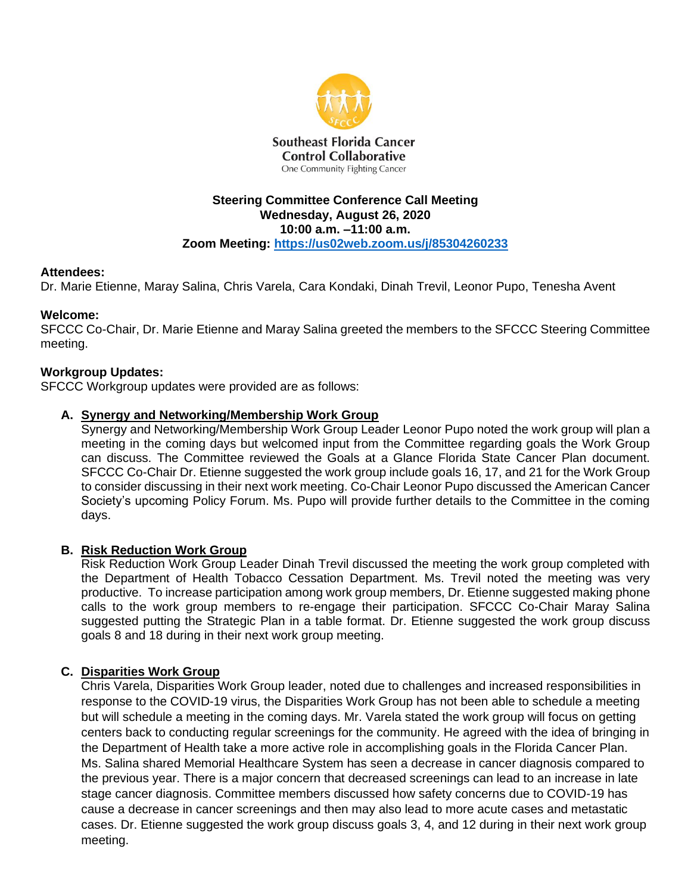

#### **Steering Committee Conference Call Meeting Wednesday, August 26, 2020 10:00 a.m. –11:00 a.m. Zoom Meeting:<https://us02web.zoom.us/j/85304260233>**

#### **Attendees:**

Dr. Marie Etienne, Maray Salina, Chris Varela, Cara Kondaki, Dinah Trevil, Leonor Pupo, Tenesha Avent

#### **Welcome:**

SFCCC Co-Chair, Dr. Marie Etienne and Maray Salina greeted the members to the SFCCC Steering Committee meeting.

#### **Workgroup Updates:**

SFCCC Workgroup updates were provided are as follows:

#### **A. Synergy and Networking/Membership Work Group**

Synergy and Networking/Membership Work Group Leader Leonor Pupo noted the work group will plan a meeting in the coming days but welcomed input from the Committee regarding goals the Work Group can discuss. The Committee reviewed the Goals at a Glance Florida State Cancer Plan document. SFCCC Co-Chair Dr. Etienne suggested the work group include goals 16, 17, and 21 for the Work Group to consider discussing in their next work meeting. Co-Chair Leonor Pupo discussed the American Cancer Society's upcoming Policy Forum. Ms. Pupo will provide further details to the Committee in the coming days.

#### **B. Risk Reduction Work Group**

Risk Reduction Work Group Leader Dinah Trevil discussed the meeting the work group completed with the Department of Health Tobacco Cessation Department. Ms. Trevil noted the meeting was very productive. To increase participation among work group members, Dr. Etienne suggested making phone calls to the work group members to re-engage their participation. SFCCC Co-Chair Maray Salina suggested putting the Strategic Plan in a table format. Dr. Etienne suggested the work group discuss goals 8 and 18 during in their next work group meeting.

#### **C. Disparities Work Group**

Chris Varela, Disparities Work Group leader, noted due to challenges and increased responsibilities in response to the COVID-19 virus, the Disparities Work Group has not been able to schedule a meeting but will schedule a meeting in the coming days. Mr. Varela stated the work group will focus on getting centers back to conducting regular screenings for the community. He agreed with the idea of bringing in the Department of Health take a more active role in accomplishing goals in the Florida Cancer Plan. Ms. Salina shared Memorial Healthcare System has seen a decrease in cancer diagnosis compared to the previous year. There is a major concern that decreased screenings can lead to an increase in late stage cancer diagnosis. Committee members discussed how safety concerns due to COVID-19 has cause a decrease in cancer screenings and then may also lead to more acute cases and metastatic cases. Dr. Etienne suggested the work group discuss goals 3, 4, and 12 during in their next work group meeting.